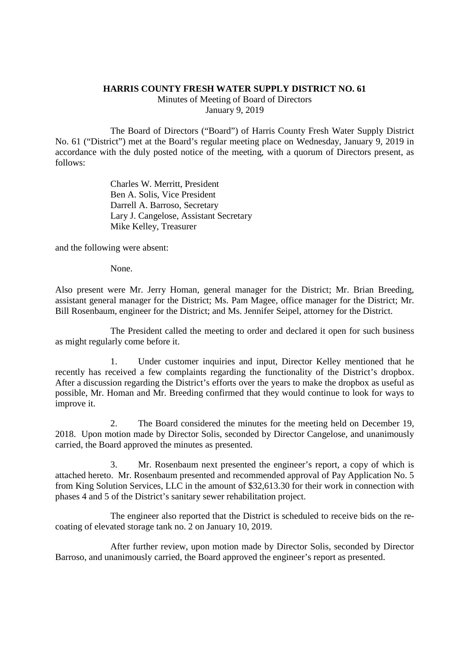## **HARRIS COUNTY FRESH WATER SUPPLY DISTRICT NO. 61**

Minutes of Meeting of Board of Directors January 9, 2019

The Board of Directors ("Board") of Harris County Fresh Water Supply District No. 61 ("District") met at the Board's regular meeting place on Wednesday, January 9, 2019 in accordance with the duly posted notice of the meeting, with a quorum of Directors present, as follows:

> Charles W. Merritt, President Ben A. Solis, Vice President Darrell A. Barroso, Secretary Lary J. Cangelose, Assistant Secretary Mike Kelley, Treasurer

and the following were absent:

None.

Also present were Mr. Jerry Homan, general manager for the District; Mr. Brian Breeding, assistant general manager for the District; Ms. Pam Magee, office manager for the District; Mr. Bill Rosenbaum, engineer for the District; and Ms. Jennifer Seipel, attorney for the District.

The President called the meeting to order and declared it open for such business as might regularly come before it.

1. Under customer inquiries and input, Director Kelley mentioned that he recently has received a few complaints regarding the functionality of the District's dropbox. After a discussion regarding the District's efforts over the years to make the dropbox as useful as possible, Mr. Homan and Mr. Breeding confirmed that they would continue to look for ways to improve it.

2. The Board considered the minutes for the meeting held on December 19, 2018. Upon motion made by Director Solis, seconded by Director Cangelose, and unanimously carried, the Board approved the minutes as presented.

3. Mr. Rosenbaum next presented the engineer's report, a copy of which is attached hereto. Mr. Rosenbaum presented and recommended approval of Pay Application No. 5 from King Solution Services, LLC in the amount of \$32,613.30 for their work in connection with phases 4 and 5 of the District's sanitary sewer rehabilitation project.

The engineer also reported that the District is scheduled to receive bids on the recoating of elevated storage tank no. 2 on January 10, 2019.

After further review, upon motion made by Director Solis, seconded by Director Barroso, and unanimously carried, the Board approved the engineer's report as presented.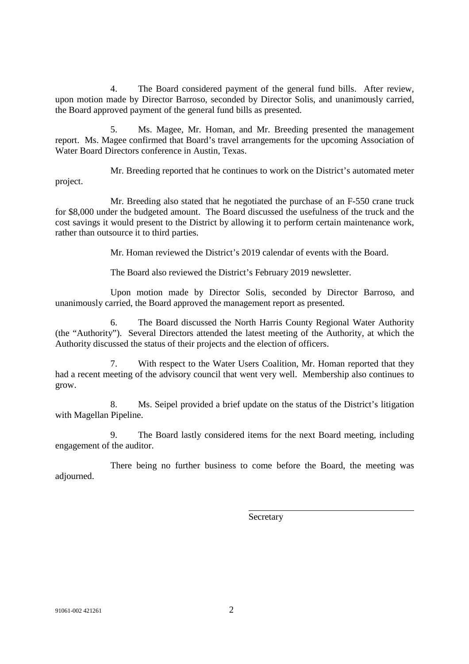4. The Board considered payment of the general fund bills. After review, upon motion made by Director Barroso, seconded by Director Solis, and unanimously carried, the Board approved payment of the general fund bills as presented.

5. Ms. Magee, Mr. Homan, and Mr. Breeding presented the management report. Ms. Magee confirmed that Board's travel arrangements for the upcoming Association of Water Board Directors conference in Austin, Texas.

Mr. Breeding reported that he continues to work on the District's automated meter project.

Mr. Breeding also stated that he negotiated the purchase of an F-550 crane truck for \$8,000 under the budgeted amount. The Board discussed the usefulness of the truck and the cost savings it would present to the District by allowing it to perform certain maintenance work, rather than outsource it to third parties.

Mr. Homan reviewed the District's 2019 calendar of events with the Board.

The Board also reviewed the District's February 2019 newsletter.

Upon motion made by Director Solis, seconded by Director Barroso, and unanimously carried, the Board approved the management report as presented.

6. The Board discussed the North Harris County Regional Water Authority (the "Authority"). Several Directors attended the latest meeting of the Authority, at which the Authority discussed the status of their projects and the election of officers.

7. With respect to the Water Users Coalition, Mr. Homan reported that they had a recent meeting of the advisory council that went very well. Membership also continues to grow.

8. Ms. Seipel provided a brief update on the status of the District's litigation with Magellan Pipeline.

9. The Board lastly considered items for the next Board meeting, including engagement of the auditor.

There being no further business to come before the Board, the meeting was adjourned.

Secretary